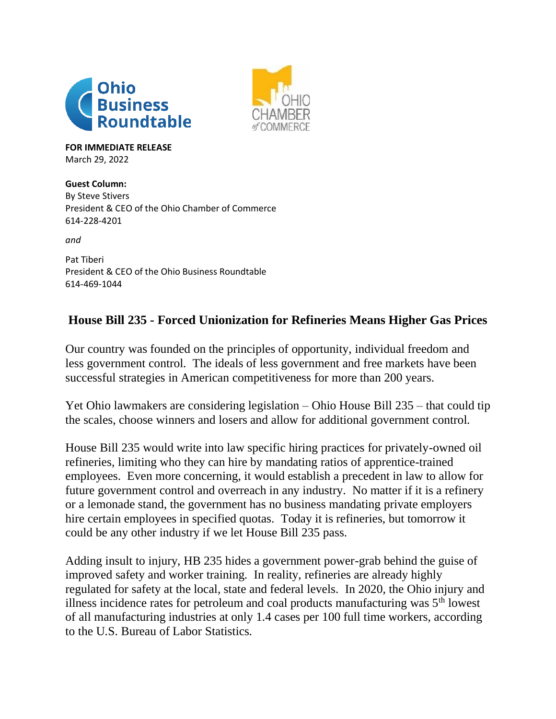



**FOR IMMEDIATE RELEASE** March 29, 2022

**Guest Column:** By Steve Stivers President & CEO of the Ohio Chamber of Commerce 614-228-4201

*and*

Pat Tiberi President & CEO of the Ohio Business Roundtable 614-469-1044

## **House Bill 235 - Forced Unionization for Refineries Means Higher Gas Prices**

Our country was founded on the principles of opportunity, individual freedom and less government control. The ideals of less government and free markets have been successful strategies in American competitiveness for more than 200 years.

Yet Ohio lawmakers are considering legislation – Ohio House Bill 235 – that could tip the scales, choose winners and losers and allow for additional government control.

House Bill 235 would write into law specific hiring practices for privately-owned oil refineries, limiting who they can hire by mandating ratios of apprentice-trained employees. Even more concerning, it would establish a precedent in law to allow for future government control and overreach in any industry. No matter if it is a refinery or a lemonade stand, the government has no business mandating private employers hire certain employees in specified quotas. Today it is refineries, but tomorrow it could be any other industry if we let House Bill 235 pass.

Adding insult to injury, HB 235 hides a government power-grab behind the guise of improved safety and worker training. In reality, refineries are already highly regulated for safety at the local, state and federal levels. In 2020, the Ohio injury and illness incidence rates for petroleum and coal products manufacturing was  $5<sup>th</sup>$  lowest of all manufacturing industries at only 1.4 cases per 100 full time workers, according to the U.S. Bureau of Labor Statistics.